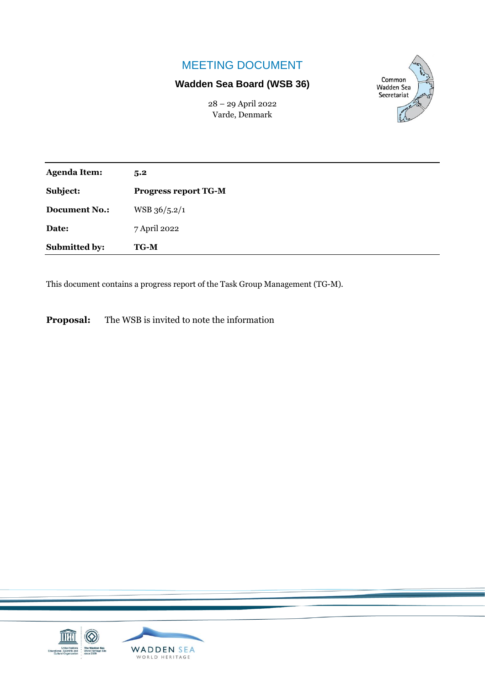# MEETING DOCUMENT

# **Wadden Sea Board (WSB 36)**

28 – 29 April 2022 Varde, Denmark



| <b>Agenda Item:</b>  | 5.2                         |
|----------------------|-----------------------------|
| Subject:             | <b>Progress report TG-M</b> |
| <b>Document No.:</b> | WSB 36/5.2/1                |
| Date:                | 7 April 2022                |
| Submitted by:        | <b>TG-M</b>                 |

This document contains a progress report of the Task Group Management (TG-M).

**Proposal:** The WSB is invited to note the information

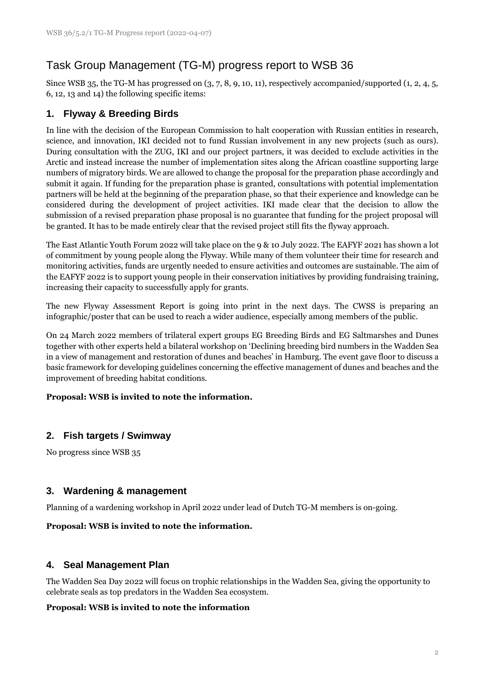# Task Group Management (TG-M) progress report to WSB 36

Since WSB 35, the TG-M has progressed on (3, 7, 8, 9, 10, 11), respectively accompanied/supported (1, 2, 4, 5, 6, 12, 13 and 14) the following specific items:

# **1. Flyway & Breeding Birds**

In line with the decision of the European Commission to halt cooperation with Russian entities in research, science, and innovation, IKI decided not to fund Russian involvement in any new projects (such as ours). During consultation with the ZUG, IKI and our project partners, it was decided to exclude activities in the Arctic and instead increase the number of implementation sites along the African coastline supporting large numbers of migratory birds. We are allowed to change the proposal for the preparation phase accordingly and submit it again. If funding for the preparation phase is granted, consultations with potential implementation partners will be held at the beginning of the preparation phase, so that their experience and knowledge can be considered during the development of project activities. IKI made clear that the decision to allow the submission of a revised preparation phase proposal is no guarantee that funding for the project proposal will be granted. It has to be made entirely clear that the revised project still fits the flyway approach.

The East Atlantic Youth Forum 2022 will take place on the 9 & 10 July 2022. The EAFYF 2021 has shown a lot of commitment by young people along the Flyway. While many of them volunteer their time for research and monitoring activities, funds are urgently needed to ensure activities and outcomes are sustainable. The aim of the EAFYF 2022 is to support young people in their conservation initiatives by providing fundraising training, increasing their capacity to successfully apply for grants.

The new Flyway Assessment Report is going into print in the next days. The CWSS is preparing an infographic/poster that can be used to reach a wider audience, especially among members of the public.

On 24 March 2022 members of trilateral expert groups EG Breeding Birds and EG Saltmarshes and Dunes together with other experts held a bilateral workshop on 'Declining breeding bird numbers in the Wadden Sea in a view of management and restoration of dunes and beaches' in Hamburg. The event gave floor to discuss a basic framework for developing guidelines concerning the effective management of dunes and beaches and the improvement of breeding habitat conditions.

#### **Proposal: WSB is invited to note the information.**

### **2. Fish targets / Swimway**

No progress since WSB 35

### **3. Wardening & management**

Planning of a wardening workshop in April 2022 under lead of Dutch TG-M members is on-going.

#### **Proposal: WSB is invited to note the information.**

### **4. Seal Management Plan**

The Wadden Sea Day 2022 will focus on trophic relationships in the Wadden Sea, giving the opportunity to celebrate seals as top predators in the Wadden Sea ecosystem.

#### **Proposal: WSB is invited to note the information**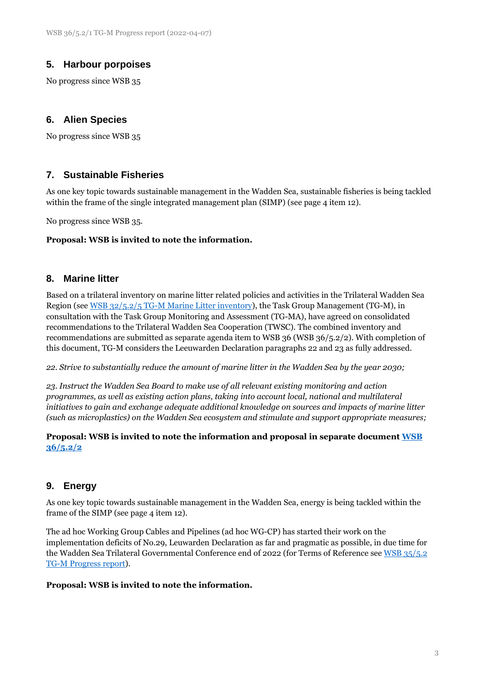## **5. Harbour porpoises**

No progress since WSB 35

### **6. Alien Species**

No progress since WSB 35

### **7. Sustainable Fisheries**

As one key topic towards sustainable management in the Wadden Sea, sustainable fisheries is being tackled within the frame of the single integrated management plan (SIMP) (see page 4 item 12).

No progress since WSB 35.

#### **Proposal: WSB is invited to note the information.**

#### **8. Marine litter**

Based on a trilateral inventory on marine litter related policies and activities in the Trilateral Wadden Sea Region (se[e WSB 32/5.2/5 TG-M Marine Litter inventory\)](https://www.waddensea-worldheritage.org/system/files/WSB-32-5-2-5-tg%20m%20marine%20litter.pdf), the Task Group Management (TG-M), in consultation with the Task Group Monitoring and Assessment (TG-MA), have agreed on consolidated recommendations to the Trilateral Wadden Sea Cooperation (TWSC). The combined inventory and recommendations are submitted as separate agenda item to WSB 36 (WSB 36/5.2/2). With completion of this document, TG-M considers the Leeuwarden Declaration paragraphs 22 and 23 as fully addressed.

*22. Strive to substantially reduce the amount of marine litter in the Wadden Sea by the year 2030;*

*23. Instruct the Wadden Sea Board to make use of all relevant existing monitoring and action programmes, as well as existing action plans, taking into account local, national and multilateral initiatives to gain and exchange adequate additional knowledge on sources and impacts of marine litter (such as microplastics) on the Wadden Sea ecosystem and stimulate and support appropriate measures;*

#### **Proposal: WSB is invited to note the information and proposal in separate documen[t WSB](https://www.waddensea-worldheritage.org/system/files/WSB-36-5-2-2%20TG-M%20marine%20litter_FINAL.pdf)  [36/5.2/2](https://www.waddensea-worldheritage.org/system/files/WSB-36-5-2-2%20TG-M%20marine%20litter_FINAL.pdf)**

### **9. Energy**

As one key topic towards sustainable management in the Wadden Sea, energy is being tackled within the frame of the SIMP (see page 4 item 12).

The ad hoc Working Group Cables and Pipelines (ad hoc WG-CP) has started their work on the implementation deficits of No.29, Leuwarden Declaration as far and pragmatic as possible, in due time for the Wadden Sea Trilateral Governmental Conference end of 2022 (for Terms of Reference see [WSB 35/5.2](https://www.waddensea-worldheritage.org/system/files/WSB-35-5-2-TG-M-Progress-Report.pdf)  [TG-M Progress report\)](https://www.waddensea-worldheritage.org/system/files/WSB-35-5-2-TG-M-Progress-Report.pdf).

#### **Proposal: WSB is invited to note the information.**